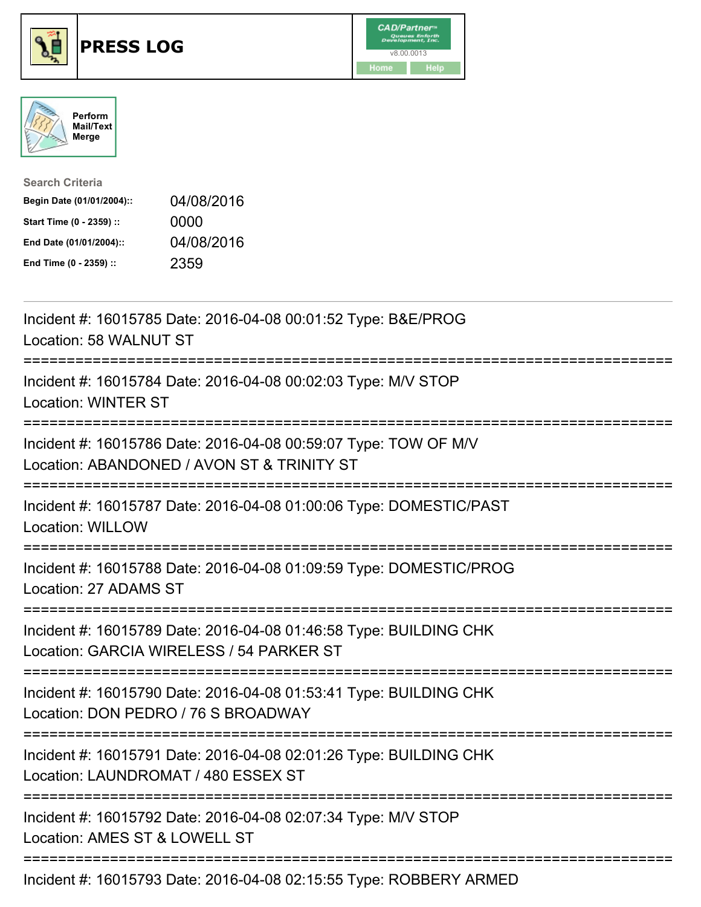





| <b>Search Criteria</b>    |            |
|---------------------------|------------|
| Begin Date (01/01/2004):: | 04/08/2016 |
| Start Time (0 - 2359) ::  | 0000       |
| End Date (01/01/2004)::   | 04/08/2016 |
| End Time (0 - 2359) ::    | 2359       |

| Incident #: 16015785 Date: 2016-04-08 00:01:52 Type: B&E/PROG<br>Location: 58 WALNUT ST                                                        |
|------------------------------------------------------------------------------------------------------------------------------------------------|
| Incident #: 16015784 Date: 2016-04-08 00:02:03 Type: M/V STOP<br><b>Location: WINTER ST</b>                                                    |
| Incident #: 16015786 Date: 2016-04-08 00:59:07 Type: TOW OF M/V<br>Location: ABANDONED / AVON ST & TRINITY ST                                  |
| Incident #: 16015787 Date: 2016-04-08 01:00:06 Type: DOMESTIC/PAST<br><b>Location: WILLOW</b>                                                  |
| Incident #: 16015788 Date: 2016-04-08 01:09:59 Type: DOMESTIC/PROG<br>Location: 27 ADAMS ST                                                    |
| Incident #: 16015789 Date: 2016-04-08 01:46:58 Type: BUILDING CHK<br>Location: GARCIA WIRELESS / 54 PARKER ST<br>============================= |
| Incident #: 16015790 Date: 2016-04-08 01:53:41 Type: BUILDING CHK<br>Location: DON PEDRO / 76 S BROADWAY<br>.---------------------------       |
| Incident #: 16015791 Date: 2016-04-08 02:01:26 Type: BUILDING CHK<br>Location: LAUNDROMAT / 480 ESSEX ST<br>=========================          |
| Incident #: 16015792 Date: 2016-04-08 02:07:34 Type: M/V STOP<br>Location: AMES ST & LOWELL ST                                                 |
| Incident #: 16015793 Date: 2016-04-08 02:15:55 Type: ROBBERY ARMED                                                                             |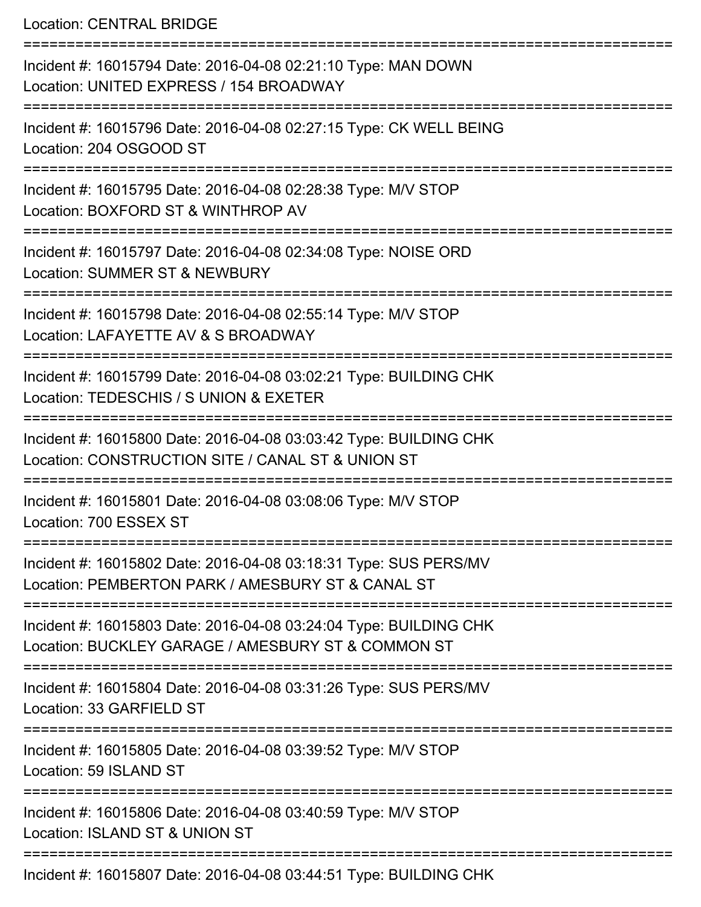Location: CENTRAL BRIDGE

| Incident #: 16015794 Date: 2016-04-08 02:21:10 Type: MAN DOWN<br>Location: UNITED EXPRESS / 154 BROADWAY                |
|-------------------------------------------------------------------------------------------------------------------------|
| Incident #: 16015796 Date: 2016-04-08 02:27:15 Type: CK WELL BEING<br>Location: 204 OSGOOD ST                           |
| Incident #: 16015795 Date: 2016-04-08 02:28:38 Type: M/V STOP<br>Location: BOXFORD ST & WINTHROP AV                     |
| Incident #: 16015797 Date: 2016-04-08 02:34:08 Type: NOISE ORD<br><b>Location: SUMMER ST &amp; NEWBURY</b>              |
| Incident #: 16015798 Date: 2016-04-08 02:55:14 Type: M/V STOP<br>Location: LAFAYETTE AV & S BROADWAY                    |
| Incident #: 16015799 Date: 2016-04-08 03:02:21 Type: BUILDING CHK<br>Location: TEDESCHIS / S UNION & EXETER             |
| Incident #: 16015800 Date: 2016-04-08 03:03:42 Type: BUILDING CHK<br>Location: CONSTRUCTION SITE / CANAL ST & UNION ST  |
| Incident #: 16015801 Date: 2016-04-08 03:08:06 Type: M/V STOP<br>Location: 700 ESSEX ST                                 |
| Incident #: 16015802 Date: 2016-04-08 03:18:31 Type: SUS PERS/MV<br>Location: PEMBERTON PARK / AMESBURY ST & CANAL ST   |
| Incident #: 16015803 Date: 2016-04-08 03:24:04 Type: BUILDING CHK<br>Location: BUCKLEY GARAGE / AMESBURY ST & COMMON ST |
| Incident #: 16015804 Date: 2016-04-08 03:31:26 Type: SUS PERS/MV<br>Location: 33 GARFIELD ST                            |
| Incident #: 16015805 Date: 2016-04-08 03:39:52 Type: M/V STOP<br>Location: 59 ISLAND ST                                 |
| Incident #: 16015806 Date: 2016-04-08 03:40:59 Type: M/V STOP<br>Location: ISLAND ST & UNION ST                         |
| Incident #: 16015807 Date: 2016-04-08 03:44:51 Type: BUILDING CHK                                                       |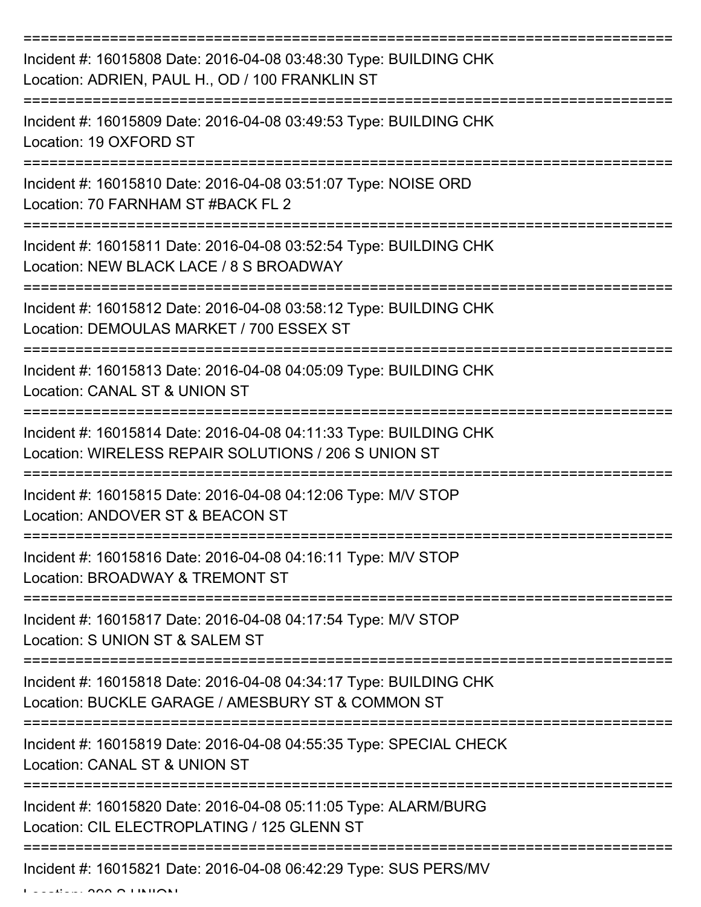| Incident #: 16015808 Date: 2016-04-08 03:48:30 Type: BUILDING CHK<br>Location: ADRIEN, PAUL H., OD / 100 FRANKLIN ST      |
|---------------------------------------------------------------------------------------------------------------------------|
| Incident #: 16015809 Date: 2016-04-08 03:49:53 Type: BUILDING CHK<br>Location: 19 OXFORD ST                               |
| Incident #: 16015810 Date: 2016-04-08 03:51:07 Type: NOISE ORD<br>Location: 70 FARNHAM ST #BACK FL 2                      |
| Incident #: 16015811 Date: 2016-04-08 03:52:54 Type: BUILDING CHK<br>Location: NEW BLACK LACE / 8 S BROADWAY              |
| Incident #: 16015812 Date: 2016-04-08 03:58:12 Type: BUILDING CHK<br>Location: DEMOULAS MARKET / 700 ESSEX ST             |
| ========<br>Incident #: 16015813 Date: 2016-04-08 04:05:09 Type: BUILDING CHK<br>Location: CANAL ST & UNION ST            |
| Incident #: 16015814 Date: 2016-04-08 04:11:33 Type: BUILDING CHK<br>Location: WIRELESS REPAIR SOLUTIONS / 206 S UNION ST |
| Incident #: 16015815 Date: 2016-04-08 04:12:06 Type: M/V STOP<br>Location: ANDOVER ST & BEACON ST                         |
| Incident #: 16015816 Date: 2016-04-08 04:16:11 Type: M/V STOP<br>Location: BROADWAY & TREMONT ST                          |
| Incident #: 16015817 Date: 2016-04-08 04:17:54 Type: M/V STOP<br>Location: S UNION ST & SALEM ST                          |
| Incident #: 16015818 Date: 2016-04-08 04:34:17 Type: BUILDING CHK<br>Location: BUCKLE GARAGE / AMESBURY ST & COMMON ST    |
| Incident #: 16015819 Date: 2016-04-08 04:55:35 Type: SPECIAL CHECK<br>Location: CANAL ST & UNION ST                       |
| Incident #: 16015820 Date: 2016-04-08 05:11:05 Type: ALARM/BURG<br>Location: CIL ELECTROPLATING / 125 GLENN ST            |
| Incident #: 16015821 Date: 2016-04-08 06:42:29 Type: SUS PERS/MV                                                          |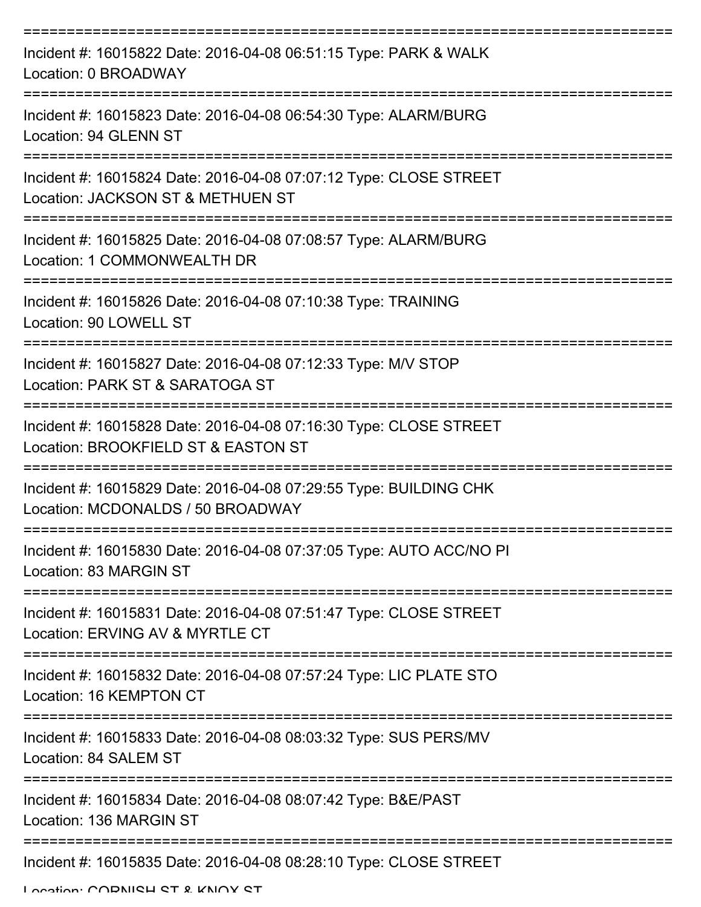| Incident #: 16015822 Date: 2016-04-08 06:51:15 Type: PARK & WALK<br>Location: 0 BROADWAY                                  |
|---------------------------------------------------------------------------------------------------------------------------|
| Incident #: 16015823 Date: 2016-04-08 06:54:30 Type: ALARM/BURG<br>Location: 94 GLENN ST                                  |
| Incident #: 16015824 Date: 2016-04-08 07:07:12 Type: CLOSE STREET<br>Location: JACKSON ST & METHUEN ST                    |
| Incident #: 16015825 Date: 2016-04-08 07:08:57 Type: ALARM/BURG<br>Location: 1 COMMONWEALTH DR                            |
| Incident #: 16015826 Date: 2016-04-08 07:10:38 Type: TRAINING<br>Location: 90 LOWELL ST<br>:============================= |
| Incident #: 16015827 Date: 2016-04-08 07:12:33 Type: M/V STOP<br>Location: PARK ST & SARATOGA ST                          |
| Incident #: 16015828 Date: 2016-04-08 07:16:30 Type: CLOSE STREET<br>Location: BROOKFIELD ST & EASTON ST                  |
| Incident #: 16015829 Date: 2016-04-08 07:29:55 Type: BUILDING CHK<br>Location: MCDONALDS / 50 BROADWAY                    |
| Incident #: 16015830 Date: 2016-04-08 07:37:05 Type: AUTO ACC/NO PI<br>Location: 83 MARGIN ST                             |
| Incident #: 16015831 Date: 2016-04-08 07:51:47 Type: CLOSE STREET<br>Location: ERVING AV & MYRTLE CT                      |
| Incident #: 16015832 Date: 2016-04-08 07:57:24 Type: LIC PLATE STO<br>Location: 16 KEMPTON CT                             |
| Incident #: 16015833 Date: 2016-04-08 08:03:32 Type: SUS PERS/MV<br>Location: 84 SALEM ST                                 |
| Incident #: 16015834 Date: 2016-04-08 08:07:42 Type: B&E/PAST<br>Location: 136 MARGIN ST                                  |
| Incident #: 16015835 Date: 2016-04-08 08:28:10 Type: CLOSE STREET                                                         |

Location: CODNICH CT & KNOY CT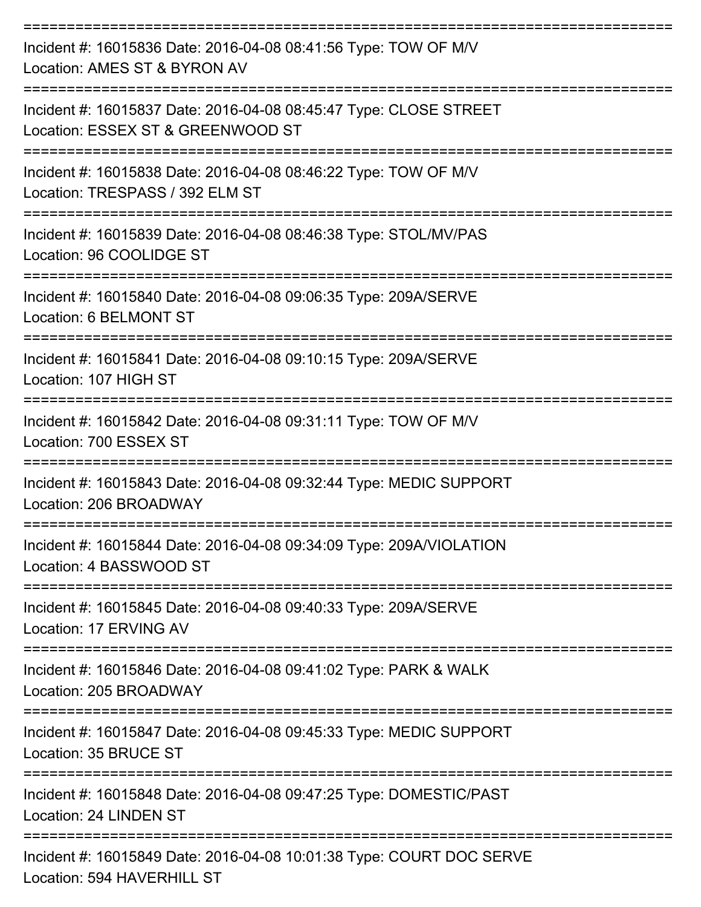| Incident #: 16015836 Date: 2016-04-08 08:41:56 Type: TOW OF M/V<br>Location: AMES ST & BYRON AV                                |
|--------------------------------------------------------------------------------------------------------------------------------|
| Incident #: 16015837 Date: 2016-04-08 08:45:47 Type: CLOSE STREET<br>Location: ESSEX ST & GREENWOOD ST                         |
| Incident #: 16015838 Date: 2016-04-08 08:46:22 Type: TOW OF M/V<br>Location: TRESPASS / 392 ELM ST<br>--------------           |
| Incident #: 16015839 Date: 2016-04-08 08:46:38 Type: STOL/MV/PAS<br>Location: 96 COOLIDGE ST                                   |
| Incident #: 16015840 Date: 2016-04-08 09:06:35 Type: 209A/SERVE<br>Location: 6 BELMONT ST                                      |
| Incident #: 16015841 Date: 2016-04-08 09:10:15 Type: 209A/SERVE<br>Location: 107 HIGH ST                                       |
| =================================<br>Incident #: 16015842 Date: 2016-04-08 09:31:11 Type: TOW OF M/V<br>Location: 700 ESSEX ST |
| Incident #: 16015843 Date: 2016-04-08 09:32:44 Type: MEDIC SUPPORT<br>Location: 206 BROADWAY                                   |
| Incident #: 16015844 Date: 2016-04-08 09:34:09 Type: 209A/VIOLATION<br>Location: 4 BASSWOOD ST                                 |
| Incident #: 16015845 Date: 2016-04-08 09:40:33 Type: 209A/SERVE<br>Location: 17 ERVING AV                                      |
| Incident #: 16015846 Date: 2016-04-08 09:41:02 Type: PARK & WALK<br>Location: 205 BROADWAY                                     |
| Incident #: 16015847 Date: 2016-04-08 09:45:33 Type: MEDIC SUPPORT<br>Location: 35 BRUCE ST                                    |
| Incident #: 16015848 Date: 2016-04-08 09:47:25 Type: DOMESTIC/PAST<br>Location: 24 LINDEN ST                                   |
| Incident #: 16015849 Date: 2016-04-08 10:01:38 Type: COURT DOC SERVE<br>Location: 594 HAVERHILL ST                             |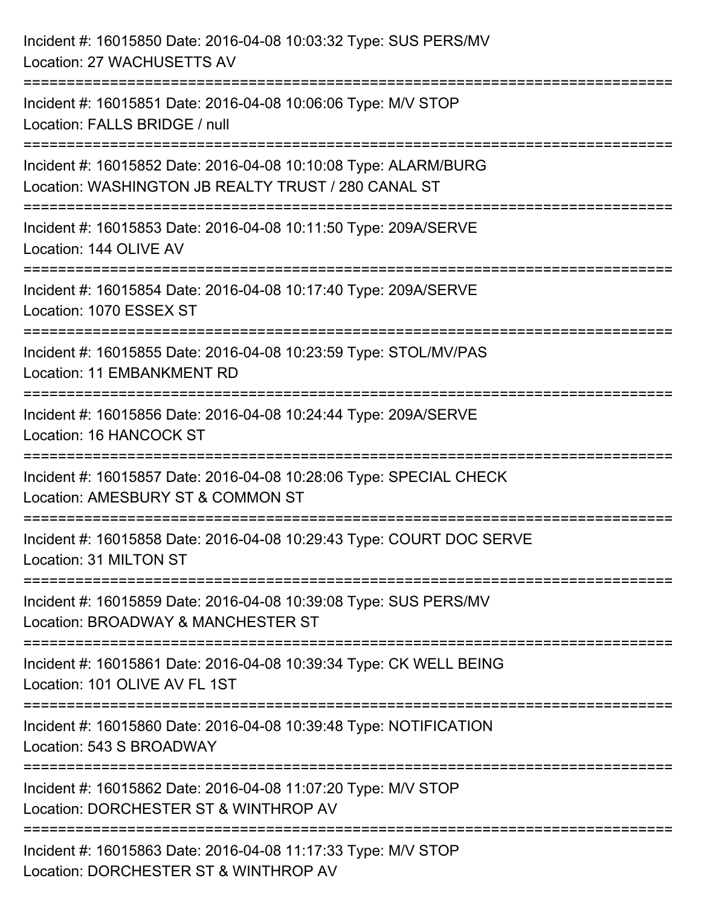| Incident #: 16015850 Date: 2016-04-08 10:03:32 Type: SUS PERS/MV<br>Location: 27 WACHUSETTS AV                         |
|------------------------------------------------------------------------------------------------------------------------|
| Incident #: 16015851 Date: 2016-04-08 10:06:06 Type: M/V STOP<br>Location: FALLS BRIDGE / null                         |
| Incident #: 16015852 Date: 2016-04-08 10:10:08 Type: ALARM/BURG<br>Location: WASHINGTON JB REALTY TRUST / 280 CANAL ST |
| Incident #: 16015853 Date: 2016-04-08 10:11:50 Type: 209A/SERVE<br>Location: 144 OLIVE AV                              |
| Incident #: 16015854 Date: 2016-04-08 10:17:40 Type: 209A/SERVE<br>Location: 1070 ESSEX ST                             |
| Incident #: 16015855 Date: 2016-04-08 10:23:59 Type: STOL/MV/PAS<br>Location: 11 EMBANKMENT RD                         |
| ;=================<br>Incident #: 16015856 Date: 2016-04-08 10:24:44 Type: 209A/SERVE<br>Location: 16 HANCOCK ST       |
| Incident #: 16015857 Date: 2016-04-08 10:28:06 Type: SPECIAL CHECK<br>Location: AMESBURY ST & COMMON ST                |
| Incident #: 16015858 Date: 2016-04-08 10:29:43 Type: COURT DOC SERVE<br>Location: 31 MILTON ST                         |
| Incident #: 16015859 Date: 2016-04-08 10:39:08 Type: SUS PERS/MV<br>Location: BROADWAY & MANCHESTER ST                 |
| Incident #: 16015861 Date: 2016-04-08 10:39:34 Type: CK WELL BEING<br>Location: 101 OLIVE AV FL 1ST                    |
| Incident #: 16015860 Date: 2016-04-08 10:39:48 Type: NOTIFICATION<br>Location: 543 S BROADWAY                          |
| Incident #: 16015862 Date: 2016-04-08 11:07:20 Type: M/V STOP<br>Location: DORCHESTER ST & WINTHROP AV                 |
| Incident #: 16015863 Date: 2016-04-08 11:17:33 Type: M/V STOP<br>Location: DORCHESTER ST & WINTHROP AV                 |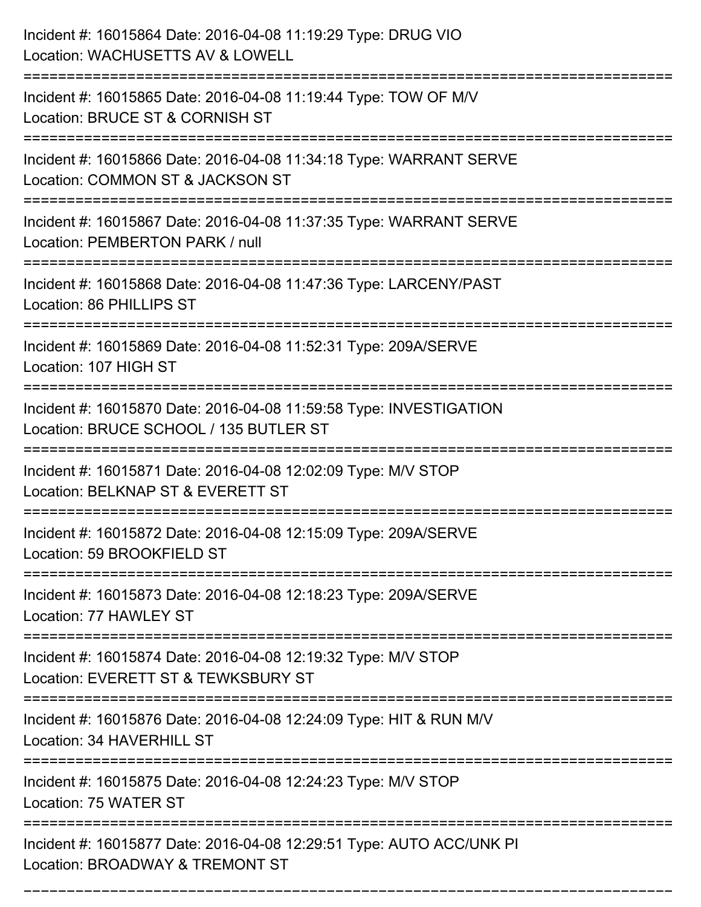| Incident #: 16015864 Date: 2016-04-08 11:19:29 Type: DRUG VIO<br>Location: WACHUSETTS AV & LOWELL                                 |
|-----------------------------------------------------------------------------------------------------------------------------------|
| Incident #: 16015865 Date: 2016-04-08 11:19:44 Type: TOW OF M/V<br>Location: BRUCE ST & CORNISH ST                                |
| Incident #: 16015866 Date: 2016-04-08 11:34:18 Type: WARRANT SERVE<br>Location: COMMON ST & JACKSON ST<br>:====================== |
| Incident #: 16015867 Date: 2016-04-08 11:37:35 Type: WARRANT SERVE<br>Location: PEMBERTON PARK / null                             |
| Incident #: 16015868 Date: 2016-04-08 11:47:36 Type: LARCENY/PAST<br>Location: 86 PHILLIPS ST                                     |
| Incident #: 16015869 Date: 2016-04-08 11:52:31 Type: 209A/SERVE<br>Location: 107 HIGH ST                                          |
| Incident #: 16015870 Date: 2016-04-08 11:59:58 Type: INVESTIGATION<br>Location: BRUCE SCHOOL / 135 BUTLER ST                      |
| Incident #: 16015871 Date: 2016-04-08 12:02:09 Type: M/V STOP<br>Location: BELKNAP ST & EVERETT ST                                |
| Incident #: 16015872 Date: 2016-04-08 12:15:09 Type: 209A/SERVE<br>Location: 59 BROOKFIELD ST                                     |
| Incident #: 16015873 Date: 2016-04-08 12:18:23 Type: 209A/SERVE<br>Location: 77 HAWLEY ST<br>---------------------------------    |
| Incident #: 16015874 Date: 2016-04-08 12:19:32 Type: M/V STOP<br>Location: EVERETT ST & TEWKSBURY ST                              |
| Incident #: 16015876 Date: 2016-04-08 12:24:09 Type: HIT & RUN M/V<br>Location: 34 HAVERHILL ST                                   |
| Incident #: 16015875 Date: 2016-04-08 12:24:23 Type: M/V STOP<br>Location: 75 WATER ST                                            |
| Incident #: 16015877 Date: 2016-04-08 12:29:51 Type: AUTO ACC/UNK PI<br>Location: BROADWAY & TREMONT ST                           |

===========================================================================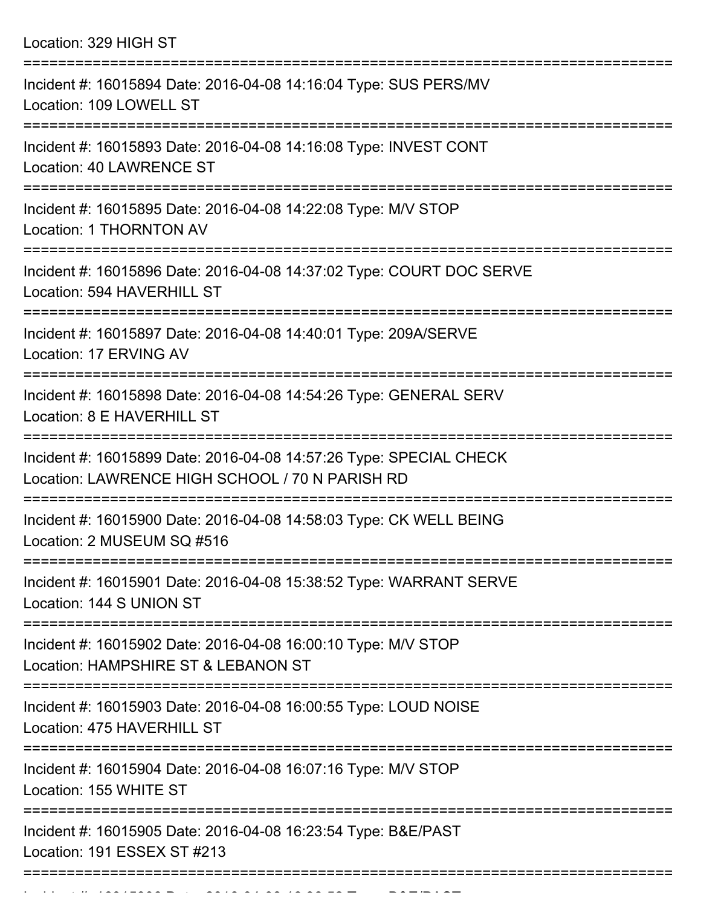| Location: 329 HIGH ST |
|-----------------------|
|-----------------------|

| Incident #: 16015894 Date: 2016-04-08 14:16:04 Type: SUS PERS/MV<br>Location: 109 LOWELL ST                           |
|-----------------------------------------------------------------------------------------------------------------------|
| Incident #: 16015893 Date: 2016-04-08 14:16:08 Type: INVEST CONT<br>Location: 40 LAWRENCE ST                          |
| Incident #: 16015895 Date: 2016-04-08 14:22:08 Type: M/V STOP<br><b>Location: 1 THORNTON AV</b>                       |
| Incident #: 16015896 Date: 2016-04-08 14:37:02 Type: COURT DOC SERVE<br>Location: 594 HAVERHILL ST                    |
| Incident #: 16015897 Date: 2016-04-08 14:40:01 Type: 209A/SERVE<br>Location: 17 ERVING AV                             |
| Incident #: 16015898 Date: 2016-04-08 14:54:26 Type: GENERAL SERV<br>Location: 8 E HAVERHILL ST                       |
| Incident #: 16015899 Date: 2016-04-08 14:57:26 Type: SPECIAL CHECK<br>Location: LAWRENCE HIGH SCHOOL / 70 N PARISH RD |
| Incident #: 16015900 Date: 2016-04-08 14:58:03 Type: CK WELL BEING<br>Location: 2 MUSEUM SQ #516                      |
| Incident #: 16015901 Date: 2016-04-08 15:38:52 Type: WARRANT SERVE<br>Location: 144 S UNION ST                        |
| Incident #: 16015902 Date: 2016-04-08 16:00:10 Type: M/V STOP<br>Location: HAMPSHIRE ST & LEBANON ST                  |
| Incident #: 16015903 Date: 2016-04-08 16:00:55 Type: LOUD NOISE<br>Location: 475 HAVERHILL ST                         |
| Incident #: 16015904 Date: 2016-04-08 16:07:16 Type: M/V STOP<br>Location: 155 WHITE ST                               |
| Incident #: 16015905 Date: 2016-04-08 16:23:54 Type: B&E/PAST<br>Location: 191 ESSEX ST #213                          |
|                                                                                                                       |

Incident #: 16015906 Date: 2016 04 08 16:36:52 Type: B&E/PAST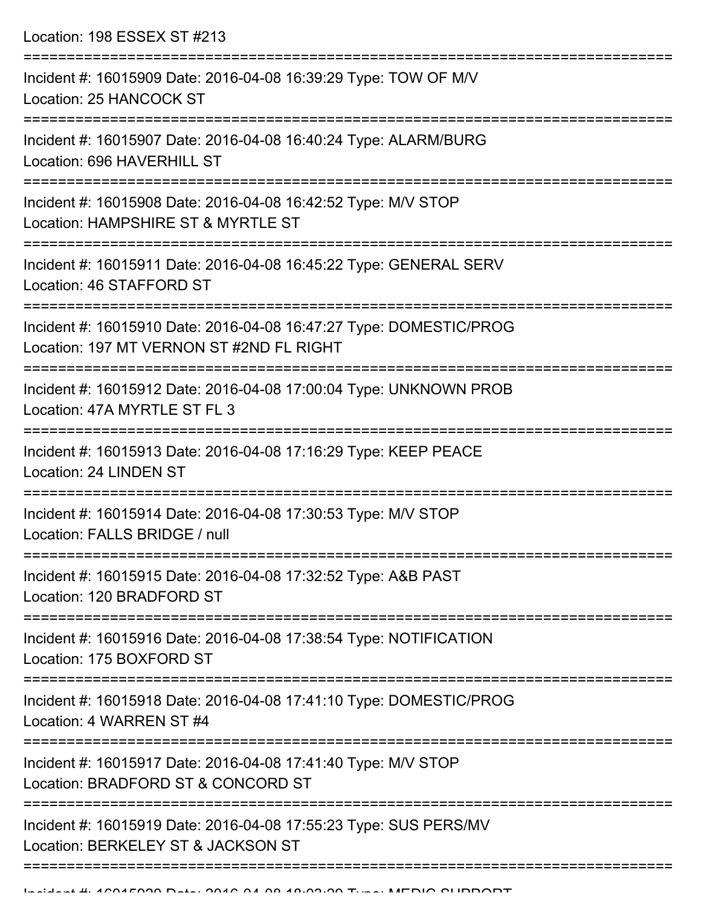Location: 198 ESSEX ST #213

| Incident #: 16015909 Date: 2016-04-08 16:39:29 Type: TOW OF M/V<br>Location: 25 HANCOCK ST                     |
|----------------------------------------------------------------------------------------------------------------|
| Incident #: 16015907 Date: 2016-04-08 16:40:24 Type: ALARM/BURG<br>Location: 696 HAVERHILL ST                  |
| Incident #: 16015908 Date: 2016-04-08 16:42:52 Type: M/V STOP<br>Location: HAMPSHIRE ST & MYRTLE ST            |
| Incident #: 16015911 Date: 2016-04-08 16:45:22 Type: GENERAL SERV<br>Location: 46 STAFFORD ST                  |
| Incident #: 16015910 Date: 2016-04-08 16:47:27 Type: DOMESTIC/PROG<br>Location: 197 MT VERNON ST #2ND FL RIGHT |
| Incident #: 16015912 Date: 2016-04-08 17:00:04 Type: UNKNOWN PROB<br>Location: 47A MYRTLE ST FL 3              |
| Incident #: 16015913 Date: 2016-04-08 17:16:29 Type: KEEP PEACE<br>Location: 24 LINDEN ST                      |
| Incident #: 16015914 Date: 2016-04-08 17:30:53 Type: M/V STOP<br>Location: FALLS BRIDGE / null                 |
| Incident #: 16015915 Date: 2016-04-08 17:32:52 Type: A&B PAST<br>Location: 120 BRADFORD ST                     |
| Incident #: 16015916 Date: 2016-04-08 17:38:54 Type: NOTIFICATION<br>Location: 175 BOXFORD ST                  |
| Incident #: 16015918 Date: 2016-04-08 17:41:10 Type: DOMESTIC/PROG<br>Location: 4 WARREN ST #4                 |
| Incident #: 16015917 Date: 2016-04-08 17:41:40 Type: M/V STOP<br>Location: BRADFORD ST & CONCORD ST            |
| Incident #: 16015919 Date: 2016-04-08 17:55:23 Type: SUS PERS/MV<br>Location: BERKELEY ST & JACKSON ST         |
|                                                                                                                |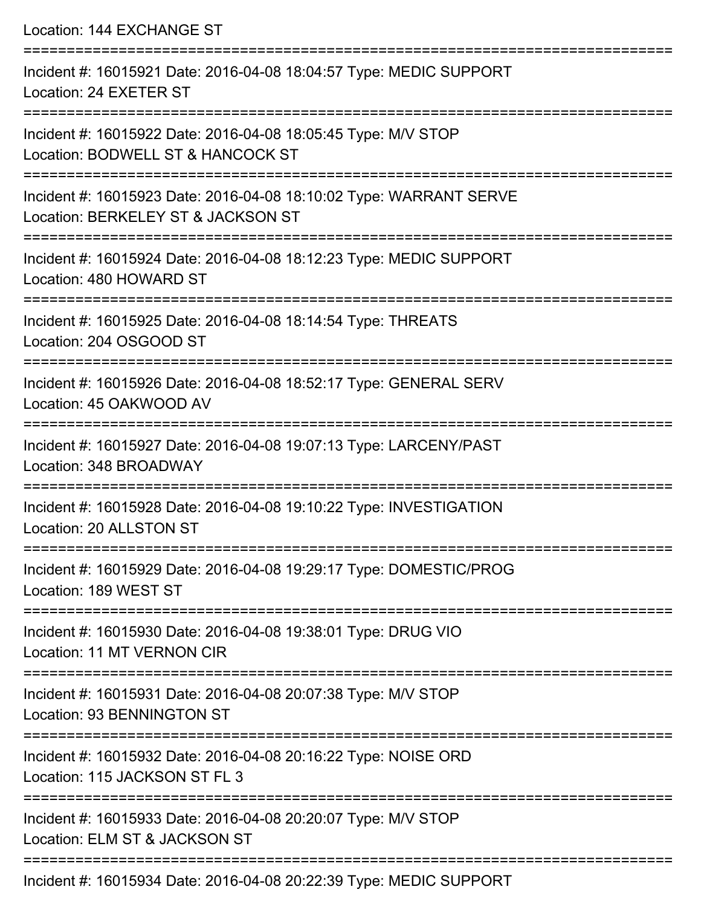Location: 144 EXCHANGE ST =========================================================================== Incident #: 16015921 Date: 2016-04-08 18:04:57 Type: MEDIC SUPPORT Location: 24 EXETER ST =========================================================================== Incident #: 16015922 Date: 2016-04-08 18:05:45 Type: M/V STOP Location: BODWELL ST & HANCOCK ST =========================================================================== Incident #: 16015923 Date: 2016-04-08 18:10:02 Type: WARRANT SERVE Location: BERKELEY ST & JACKSON ST =========================================================================== Incident #: 16015924 Date: 2016-04-08 18:12:23 Type: MEDIC SUPPORT Location: 480 HOWARD ST =========================================================================== Incident #: 16015925 Date: 2016-04-08 18:14:54 Type: THREATS Location: 204 OSGOOD ST =========================================================================== Incident #: 16015926 Date: 2016-04-08 18:52:17 Type: GENERAL SERV Location: 45 OAKWOOD AV =========================================================================== Incident #: 16015927 Date: 2016-04-08 19:07:13 Type: LARCENY/PAST Location: 348 BROADWAY =========================================================================== Incident #: 16015928 Date: 2016-04-08 19:10:22 Type: INVESTIGATION Location: 20 ALLSTON ST =========================================================================== Incident #: 16015929 Date: 2016-04-08 19:29:17 Type: DOMESTIC/PROG Location: 189 WEST ST =========================================================================== Incident #: 16015930 Date: 2016-04-08 19:38:01 Type: DRUG VIO Location: 11 MT VERNON CIR =========================================================================== Incident #: 16015931 Date: 2016-04-08 20:07:38 Type: M/V STOP Location: 93 BENNINGTON ST =========================================================================== Incident #: 16015932 Date: 2016-04-08 20:16:22 Type: NOISE ORD Location: 115 JACKSON ST FL 3 =========================================================================== Incident #: 16015933 Date: 2016-04-08 20:20:07 Type: M/V STOP Location: ELM ST & JACKSON ST ===========================================================================

Incident #: 16015934 Date: 2016-04-08 20:22:39 Type: MEDIC SUPPORT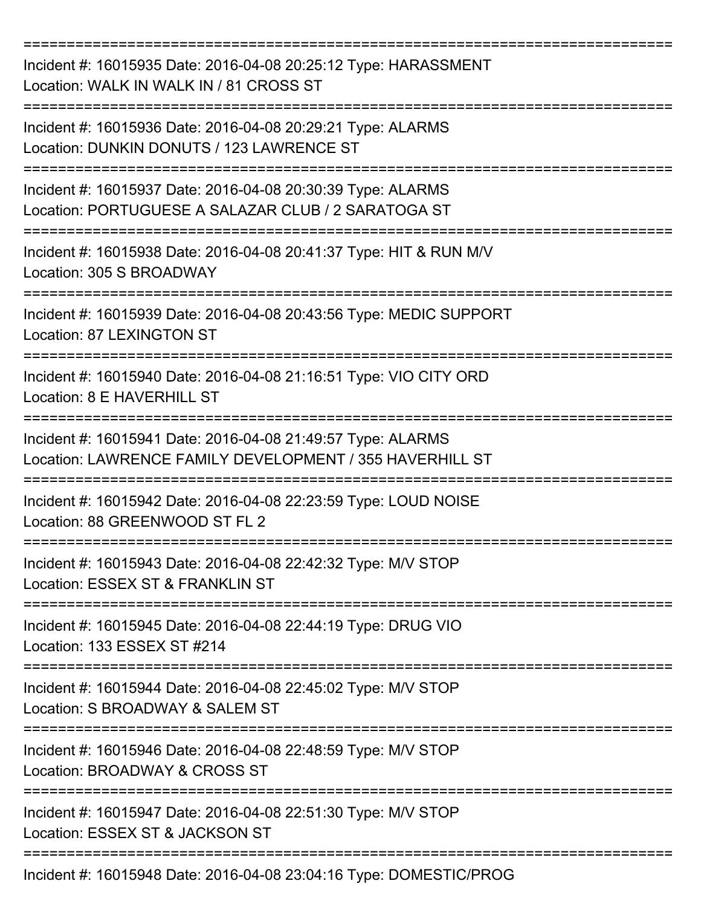| Incident #: 16015935 Date: 2016-04-08 20:25:12 Type: HARASSMENT<br>Location: WALK IN WALK IN / 81 CROSS ST                         |
|------------------------------------------------------------------------------------------------------------------------------------|
| Incident #: 16015936 Date: 2016-04-08 20:29:21 Type: ALARMS<br>Location: DUNKIN DONUTS / 123 LAWRENCE ST                           |
| Incident #: 16015937 Date: 2016-04-08 20:30:39 Type: ALARMS<br>Location: PORTUGUESE A SALAZAR CLUB / 2 SARATOGA ST                 |
| Incident #: 16015938 Date: 2016-04-08 20:41:37 Type: HIT & RUN M/V<br>Location: 305 S BROADWAY                                     |
| Incident #: 16015939 Date: 2016-04-08 20:43:56 Type: MEDIC SUPPORT<br><b>Location: 87 LEXINGTON ST</b>                             |
| Incident #: 16015940 Date: 2016-04-08 21:16:51 Type: VIO CITY ORD<br>Location: 8 E HAVERHILL ST                                    |
| Incident #: 16015941 Date: 2016-04-08 21:49:57 Type: ALARMS<br>Location: LAWRENCE FAMILY DEVELOPMENT / 355 HAVERHILL ST            |
| Incident #: 16015942 Date: 2016-04-08 22:23:59 Type: LOUD NOISE<br>Location: 88 GREENWOOD ST FL 2<br>============================= |
| Incident #: 16015943 Date: 2016-04-08 22:42:32 Type: M/V STOP<br>Location: ESSEX ST & FRANKLIN ST                                  |
| Incident #: 16015945 Date: 2016-04-08 22:44:19 Type: DRUG VIO<br>Location: 133 ESSEX ST #214                                       |
| Incident #: 16015944 Date: 2016-04-08 22:45:02 Type: M/V STOP<br>Location: S BROADWAY & SALEM ST                                   |
| Incident #: 16015946 Date: 2016-04-08 22:48:59 Type: M/V STOP<br>Location: BROADWAY & CROSS ST                                     |
| Incident #: 16015947 Date: 2016-04-08 22:51:30 Type: M/V STOP<br>Location: ESSEX ST & JACKSON ST                                   |
| ================================<br>Incident #: 16015948 Date: 2016-04-08 23:04:16 Type: DOMESTIC/PROG                             |